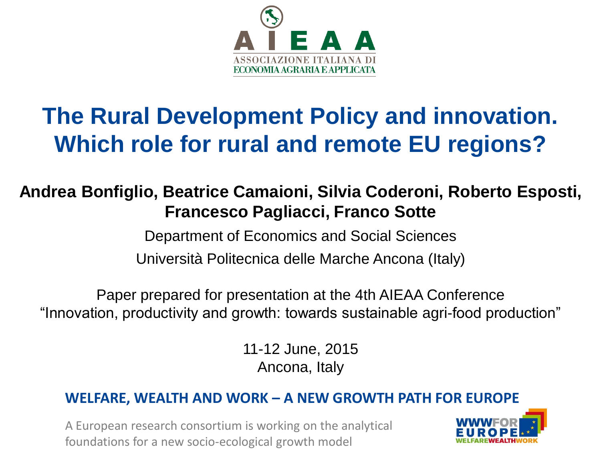

### **The Rural Development Policy and innovation. Which role for rural and remote EU regions?**

#### **Andrea Bonfiglio, Beatrice Camaioni, Silvia Coderoni, Roberto Esposti, Francesco Pagliacci, Franco Sotte**

Department of Economics and Social Sciences

Università Politecnica delle Marche Ancona (Italy)

Paper prepared for presentation at the 4th AIEAA Conference "Innovation, productivity and growth: towards sustainable agri-food production"

> 11-12 June, 2015 Ancona, Italy

#### **WELFARE, WEALTH AND WORK – A NEW GROWTH PATH FOR EUROPE**

A European research consortium is working on the analytical foundations for a new socio-ecological growth model

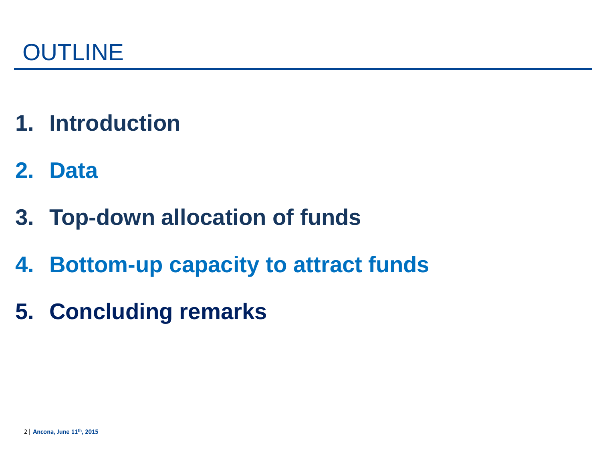

- **1. Introduction**
- **2. Data**
- **3. Top-down allocation of funds**
- **4. Bottom-up capacity to attract funds**
- **5. Concluding remarks**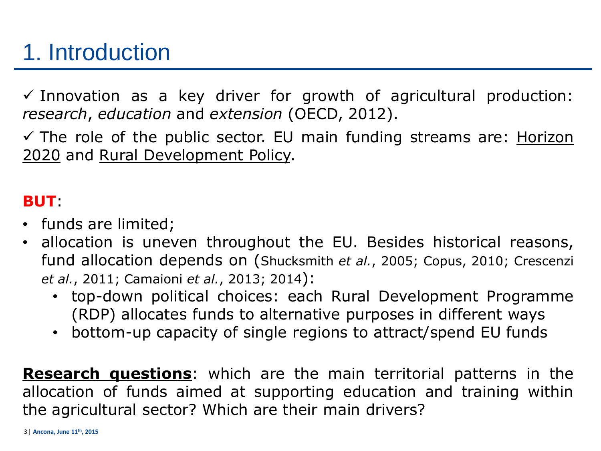### 1. Introduction

 $\checkmark$  Innovation as a key driver for growth of agricultural production: *research*, *education* and *extension* (OECD, 2012).

 $\checkmark$  The role of the public sector. EU main funding streams are: Horizon 2020 and Rural Development Policy.

#### **BUT**:

- funds are limited;
- allocation is uneven throughout the EU. Besides historical reasons, fund allocation depends on (Shucksmith *et al.*, 2005; Copus, 2010; Crescenzi *et al.*, 2011; Camaioni *et al.*, 2013; 2014):
	- top-down political choices: each Rural Development Programme (RDP) allocates funds to alternative purposes in different ways
	- bottom-up capacity of single regions to attract/spend EU funds

**Research questions**: which are the main territorial patterns in the allocation of funds aimed at supporting education and training within the agricultural sector? Which are their main drivers?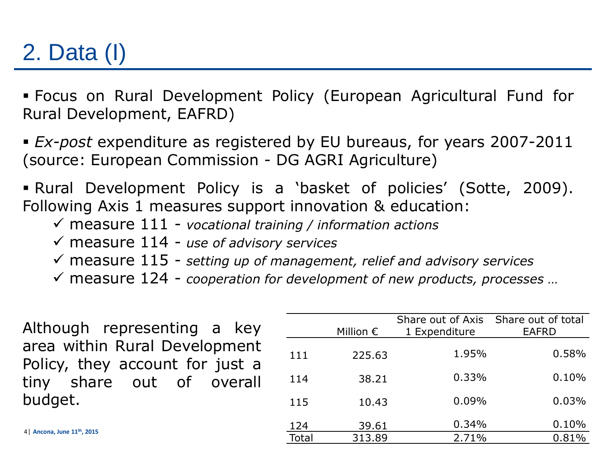# 2. Data (I)

 Focus on Rural Development Policy (European Agricultural Fund for Rural Development, EAFRD)

 *Ex-post* expenditure as registered by EU bureaus, for years 2007-2011 (source: European Commission - DG AGRI Agriculture)

 Rural Development Policy is a 'basket of policies' (Sotte, 2009). Following Axis 1 measures support innovation & education:

- measure 111 *vocational training / information actions*
- measure 114 *use of advisory services*
- measure 115 *setting up of management, relief and advisory services*
- measure 124 *cooperation for development of new products, processes …*

Although representing a key area within Rural Development Policy, they account for just a tiny share out of overall budget.

|       | Million $\epsilon$ | Share out of Axis Share out of total<br>1 Expenditure | <b>EAFRD</b> |  |
|-------|--------------------|-------------------------------------------------------|--------------|--|
| 111   | 225.63             | 1.95%                                                 | 0.58%        |  |
| 114   | 38.21              | 0.33%                                                 | 0.10%        |  |
| 115   | 10.43              | 0.09%                                                 | 0.03%        |  |
| 124   | 39.61              | 0.34%                                                 | 0.10%        |  |
| Total | 313.89             | 2.71%                                                 | 0.81%        |  |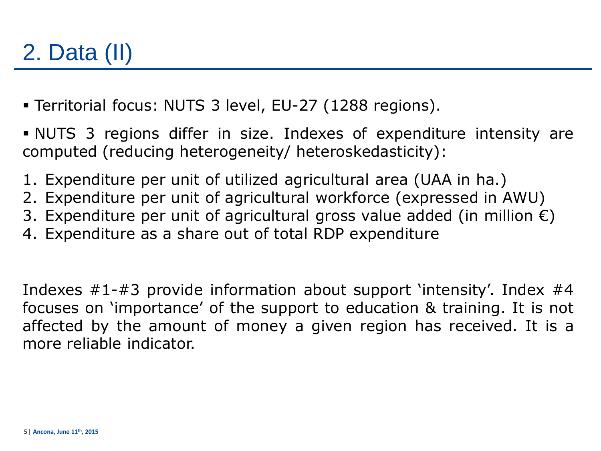# 2. Data (II)

- Territorial focus: NUTS 3 level, EU-27 (1288 regions).
- NUTS 3 regions differ in size. Indexes of expenditure intensity are computed (reducing heterogeneity/ heteroskedasticity):
- 1. Expenditure per unit of utilized agricultural area (UAA in ha.)
- 2. Expenditure per unit of agricultural workforce (expressed in AWU)
- 3. Expenditure per unit of agricultural gross value added (in million  $\epsilon$ )
- 4. Expenditure as a share out of total RDP expenditure

Indexes  $\#1-\#3$  provide information about support 'intensity'. Index  $\#4$ focuses on 'importance' of the support to education & training. It is not affected by the amount of money a given region has received. It is a more reliable indicator.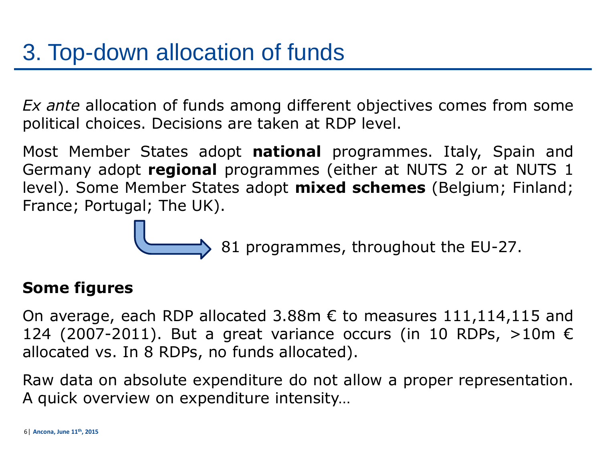*Ex ante* allocation of funds among different objectives comes from some political choices. Decisions are taken at RDP level.

Most Member States adopt **national** programmes. Italy, Spain and Germany adopt **regional** programmes (either at NUTS 2 or at NUTS 1 level). Some Member States adopt **mixed schemes** (Belgium; Finland; France; Portugal; The UK).

81 programmes, throughout the EU-27.

#### **Some figures**

On average, each RDP allocated 3.88m  $\epsilon$  to measures 111,114,115 and 124 (2007-2011). But a great variance occurs (in 10 RDPs,  $>10$ m  $\epsilon$ allocated vs. In 8 RDPs, no funds allocated).

Raw data on absolute expenditure do not allow a proper representation. A quick overview on expenditure intensity…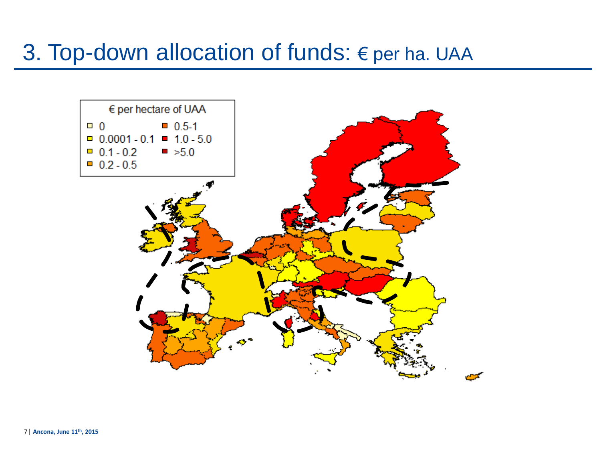### 3. Top-down allocation of funds:  $\epsilon$  per ha. UAA

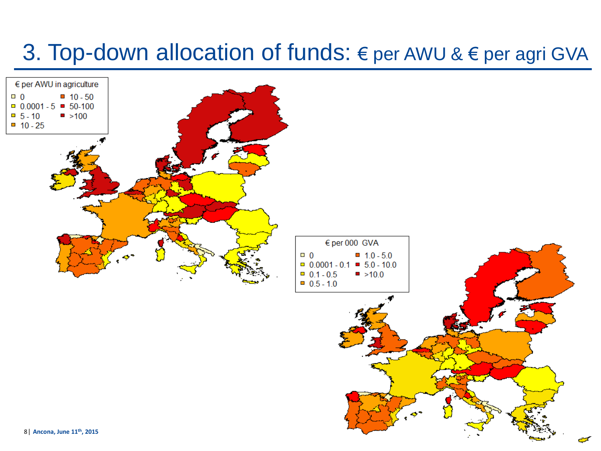### 3. Top-down allocation of funds:  $∈$  per AWU &  $∈$  per agri GVA

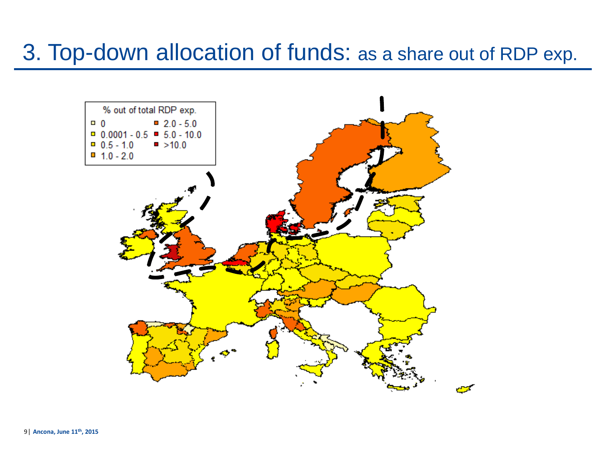### 3. Top-down allocation of funds: as a share out of RDP exp.

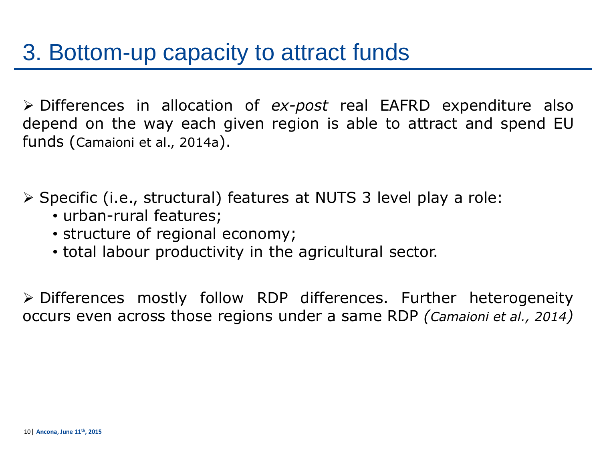Differences in allocation of *ex-post* real EAFRD expenditure also depend on the way each given region is able to attract and spend EU funds (Camaioni et al., 2014a).

 $\triangleright$  Specific (i.e., structural) features at NUTS 3 level play a role:

- urban-rural features;
- structure of regional economy;
- total labour productivity in the agricultural sector.

 Differences mostly follow RDP differences. Further heterogeneity occurs even across those regions under a same RDP *(Camaioni et al., 2014)*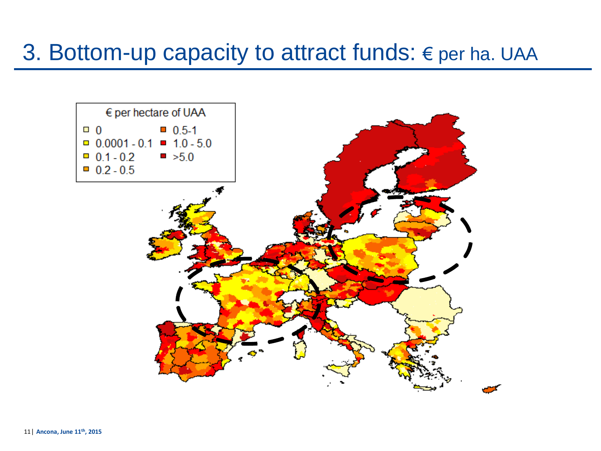### 3. Bottom-up capacity to attract funds: € per ha. UAA

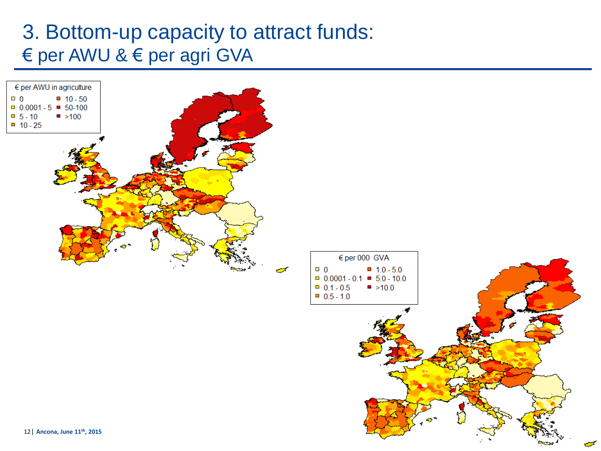#### 3. Bottom-up capacity to attract funds: € per AWU & € per agri GVA

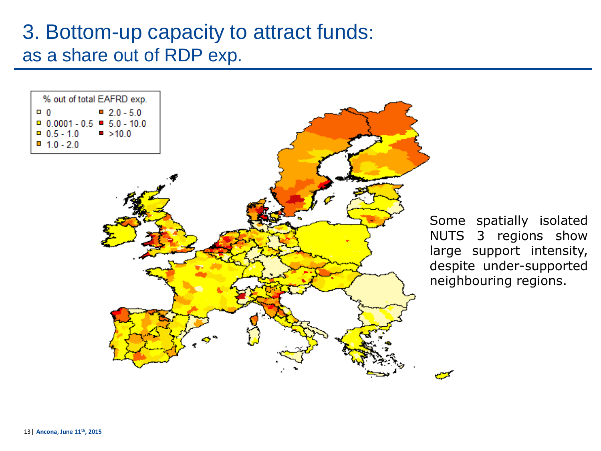#### 3. Bottom-up capacity to attract funds: as a share out of RDP exp.



Some spatially isolated NUTS 3 regions show large support intensity, despite under-supported neighbouring regions.

□ 0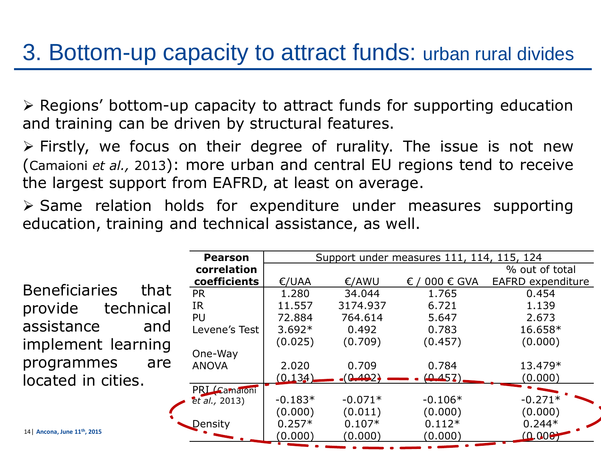### 3. Bottom-up capacity to attract funds: urban rural divides

 $\triangleright$  Regions' bottom-up capacity to attract funds for supporting education and training can be driven by structural features.

 $\triangleright$  Firstly, we focus on their degree of rurality. The issue is not new (Camaioni *et al.,* 2013): more urban and central EU regions tend to receive the largest support from EAFRD, at least on average.

 $\triangleright$  Same relation holds for expenditure under measures supporting education, training and technical assistance, as well.

|                                         | <b>Pearson</b> | Support under measures 111, 114, 115, 124 |           |                |                   |
|-----------------------------------------|----------------|-------------------------------------------|-----------|----------------|-------------------|
|                                         | correlation    |                                           |           |                | % out of total    |
|                                         | coefficients   | E/UAA                                     | €/AWU     | 000 € GVA<br>€ | EAFRD expenditure |
| <b>Beneficiaries</b><br>that            | <b>PR</b>      | 1.280                                     | 34.044    | 1.765          | 0.454             |
| technical<br>provide                    | <b>IR</b>      | 11.557                                    | 3174.937  | 6.721          | 1.139             |
|                                         | PU             | 72.884                                    | 764.614   | 5.647          | 2.673             |
| assistance<br>and                       | Levene's Test  | $3.692*$                                  | 0.492     | 0.783          | 16.658*           |
| implement learning                      |                | (0.025)                                   | (0.709)   | (0.457)        | (0.000)           |
|                                         | One-Way        |                                           |           |                |                   |
| programmes<br>are                       | <b>ANOVA</b>   | 2.020                                     | 0.709     | 0.784          | 13.479*           |
| located in cities.                      |                | (0.134)                                   | (0.492)   | (0.457)        | (0.000)           |
|                                         | PRI Camaioni   |                                           |           |                |                   |
|                                         | et al., 2013)  | $-0.183*$                                 | $-0.071*$ | $-0.106*$      | $-0.271*$         |
|                                         |                | (0.000)                                   | (0.011)   | (0.000)        | (0.000)           |
|                                         | Density        | $0.257*$                                  | $0.107*$  | $0.112*$       | $0.244*$          |
| 14 Ancona, June 11 <sup>th</sup> , 2015 |                | (0.000)                                   | (0.000)   | (0.000)        | (0.000)           |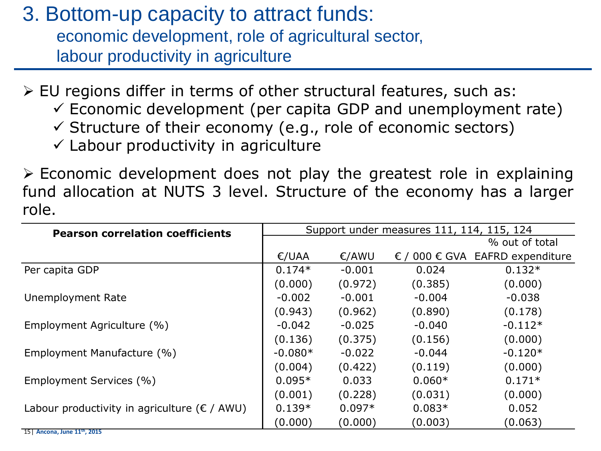3. Bottom-up capacity to attract funds: economic development, role of agricultural sector, labour productivity in agriculture

 $\triangleright$  EU regions differ in terms of other structural features, such as:

- $\checkmark$  Economic development (per capita GDP and unemployment rate)
- $\checkmark$  Structure of their economy (e.g., role of economic sectors)

 $\checkmark$  Labour productivity in agriculture

 $\triangleright$  Economic development does not play the greatest role in explaining fund allocation at NUTS 3 level. Structure of the economy has a larger role.

| <b>Pearson correlation coefficients</b>                | Support under measures 111, 114, 115, 124 |          |          |                                                   |
|--------------------------------------------------------|-------------------------------------------|----------|----------|---------------------------------------------------|
|                                                        |                                           |          |          | % out of total                                    |
|                                                        | E/UAA                                     | €/AWU    |          | $\epsilon$ / 000 $\epsilon$ GVA EAFRD expenditure |
| Per capita GDP                                         | $0.174*$                                  | $-0.001$ | 0.024    | $0.132*$                                          |
|                                                        | (0.000)                                   | (0.972)  | (0.385)  | (0.000)                                           |
| Unemployment Rate                                      | $-0.002$                                  | $-0.001$ | $-0.004$ | $-0.038$                                          |
|                                                        | (0.943)                                   | (0.962)  | (0.890)  | (0.178)                                           |
| Employment Agriculture (%)                             | $-0.042$                                  | $-0.025$ | $-0.040$ | $-0.112*$                                         |
|                                                        | (0.136)                                   | (0.375)  | (0.156)  | (0.000)                                           |
| Employment Manufacture (%)                             | $-0.080*$                                 | $-0.022$ | $-0.044$ | $-0.120*$                                         |
|                                                        | (0.004)                                   | (0.422)  | (0.119)  | (0.000)                                           |
| Employment Services (%)                                | $0.095*$                                  | 0.033    | $0.060*$ | $0.171*$                                          |
|                                                        | (0.001)                                   | (0.228)  | (0.031)  | (0.000)                                           |
| Labour productivity in agriculture ( $\epsilon$ / AWU) | $0.139*$                                  | $0.097*$ | $0.083*$ | 0.052                                             |
| $151$ Ancona, lung $11^{th}$ $2015$                    | (0.000)                                   | (0.000)  | (0.003)  | (0.063)                                           |

15**| Ancona, June 11th , 2015**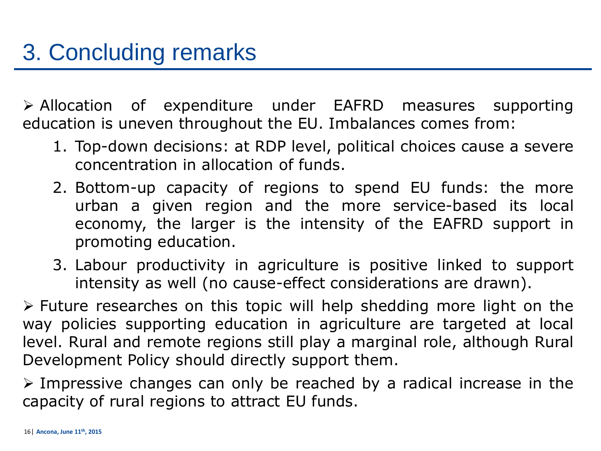Allocation of expenditure under EAFRD measures supporting education is uneven throughout the EU. Imbalances comes from:

- 1. Top-down decisions: at RDP level, political choices cause a severe concentration in allocation of funds.
- 2. Bottom-up capacity of regions to spend EU funds: the more urban a given region and the more service-based its local economy, the larger is the intensity of the EAFRD support in promoting education.
- 3. Labour productivity in agriculture is positive linked to support intensity as well (no cause-effect considerations are drawn).

 $\triangleright$  Future researches on this topic will help shedding more light on the way policies supporting education in agriculture are targeted at local level. Rural and remote regions still play a marginal role, although Rural Development Policy should directly support them.

 $\triangleright$  Impressive changes can only be reached by a radical increase in the capacity of rural regions to attract EU funds.